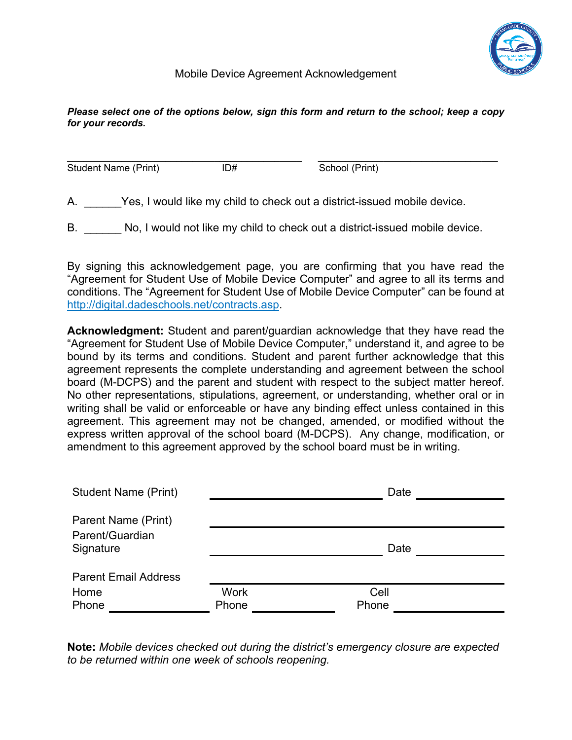

## *Please select one of the options below, sign this form and return to the school; keep a copy for your records.*

 $\frac{1}{2}$  ,  $\frac{1}{2}$  ,  $\frac{1}{2}$  ,  $\frac{1}{2}$  ,  $\frac{1}{2}$  ,  $\frac{1}{2}$  ,  $\frac{1}{2}$  ,  $\frac{1}{2}$  ,  $\frac{1}{2}$  ,  $\frac{1}{2}$  ,  $\frac{1}{2}$  ,  $\frac{1}{2}$  ,  $\frac{1}{2}$  ,  $\frac{1}{2}$  ,  $\frac{1}{2}$  ,  $\frac{1}{2}$  ,  $\frac{1}{2}$  ,  $\frac{1}{2}$  ,  $\frac{1$ Student Name (Print) **ID#** School (Print)

A. The Yes, I would like my child to check out a district-issued mobile device.

B. No, I would not like my child to check out a district-issued mobile device.

By signing this acknowledgement page, you are confirming that you have read the "Agreement for Student Use of Mobile Device Computer" and agree to all its terms and conditions. The "Agreement for Student Use of Mobile Device Computer" can be found at [http://digital.dadeschools.net/contracts.asp.](http://digital.dadeschools.net/contracts.asp)

**Acknowledgment:** Student and parent/guardian acknowledge that they have read the "Agreement for Student Use of Mobile Device Computer," understand it, and agree to be bound by its terms and conditions. Student and parent further acknowledge that this agreement represents the complete understanding and agreement between the school board (M-DCPS) and the parent and student with respect to the subject matter hereof. No other representations, stipulations, agreement, or understanding, whether oral or in writing shall be valid or enforceable or have any binding effect unless contained in this agreement. This agreement may not be changed, amended, or modified without the express written approval of the school board (M-DCPS). Any change, modification, or amendment to this agreement approved by the school board must be in writing.

| <b>Student Name (Print)</b>  |                      | Date          |
|------------------------------|----------------------|---------------|
| Parent Name (Print)          |                      |               |
| Parent/Guardian<br>Signature |                      | Date          |
| <b>Parent Email Address</b>  |                      |               |
| Home<br>Phone                | <b>Work</b><br>Phone | Cell<br>Phone |

**Note:** *Mobile devices checked out during the district's emergency closure are expected to be returned within one week of schools reopening.*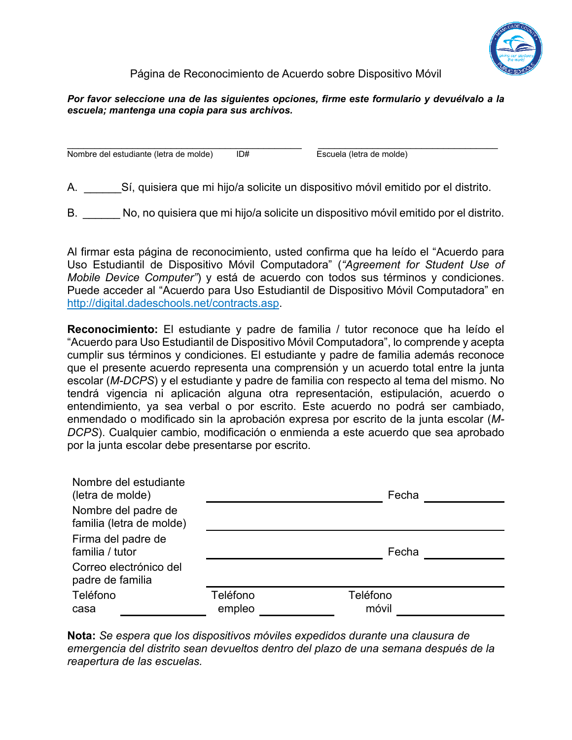

## *Por favor seleccione una de las siguientes opciones, firme este formulario y devuélvalo a la escuela; mantenga una copia para sus archivos.*

\_\_\_\_\_\_\_\_\_\_\_\_\_\_\_\_\_\_\_\_\_\_\_\_\_\_\_\_\_\_\_\_\_\_\_\_\_\_\_\_\_\_\_ \_\_\_\_\_\_\_\_\_\_\_\_\_\_\_\_\_\_\_\_\_\_\_\_\_\_\_\_\_\_\_\_\_ Nombre del estudiante (letra de molde) ID# Escuela (letra de molde)

A. Sí, quisiera que mi hijo/a solicite un dispositivo móvil emitido por el distrito.

B. No, no quisiera que mi hijo/a solicite un dispositivo móvil emitido por el distrito.

Al firmar esta página de reconocimiento, usted confirma que ha leído el "Acuerdo para Uso Estudiantil de Dispositivo Móvil Computadora" (*"Agreement for Student Use of Mobile Device Computer"*) y está de acuerdo con todos sus términos y condiciones. Puede acceder al "Acuerdo para Uso Estudiantil de Dispositivo Móvil Computadora" en [http://digital.dadeschools.net/contracts.asp.](http://digital.dadeschools.net/contracts.asp)

**Reconocimiento:** El estudiante y padre de familia / tutor reconoce que ha leído el "Acuerdo para Uso Estudiantil de Dispositivo Móvil Computadora", lo comprende y acepta cumplir sus términos y condiciones. El estudiante y padre de familia además reconoce que el presente acuerdo representa una comprensión y un acuerdo total entre la junta escolar (*M-DCPS*) y el estudiante y padre de familia con respecto al tema del mismo. No tendrá vigencia ni aplicación alguna otra representación, estipulación, acuerdo o entendimiento, ya sea verbal o por escrito. Este acuerdo no podrá ser cambiado, enmendado o modificado sin la aprobación expresa por escrito de la junta escolar (*M-DCPS*). Cualquier cambio, modificación o enmienda a este acuerdo que sea aprobado por la junta escolar debe presentarse por escrito.

|                    | Fecha             |  |
|--------------------|-------------------|--|
|                    |                   |  |
|                    | Fecha             |  |
|                    |                   |  |
| Teléfono<br>empleo | Teléfono<br>móvil |  |
|                    |                   |  |

**Nota:** *Se espera que los dispositivos móviles expedidos durante una clausura de emergencia del distrito sean devueltos dentro del plazo de una semana después de la reapertura de las escuelas.*